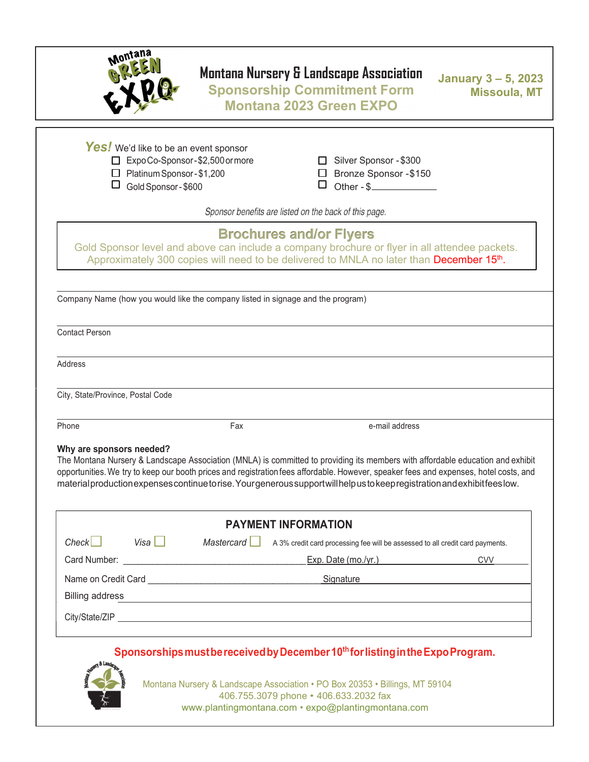

## Montana Nursery & Landscape Association

Sponsorship Commitment Form Montana 2023 Green EXPO

January 3 – 5, 2023 Missoula, MT

Yes! We'd like to be an event sponsor □ Expo Co-Sponsor - \$2,500 or more <br>□ Silver Sponsor - \$300 □ Platinum Sponsor - \$1,200 <br>□ Bronze Sponsor - \$150  $\Box$  Gold Sponsor - \$600  $\Box$  Other - \$ Sponsor benefits are listed on the back of this page. Brochures and/or Flyers Gold Sponsor level and above can include a company brochure or flyer in all attendee packets. Approximately 300 copies will need to be delivered to MNLA no later than December 15<sup>th</sup>. Company Name (how you would like the company listed in signage and the program) Contact Person Address City, State/Province, Postal Code Phone Fax **Fax e-mail address** e-mail address e-mail address e-mail address e-mail address e-mail address e-mail address e-mail address e-mail address e-mail address e-mail address e-mail address e-mail address e-mail addr Why are sponsors needed? The Montana Nursery & Landscape Association (MNLA) is committed to providing its members with affordable education and exhibit opportunities. We try to keep our booth prices and registration fees affordable. However, speaker fees and expenses, hotel costs, and material production expenses continue to rise. Your generous support will help us to keep registration and exhibit fees low. PAYMENT INFORMATION  $Check$ Visa  $\Box$  Mastercard  $\Box$  A 3% credit card processing fee will be assessed to all credit card payments. Card Number: \_\_\_\_\_\_\_\_\_\_\_\_\_\_\_\_\_\_\_\_\_\_\_\_\_\_\_\_\_\_\_\_\_\_\_\_\_\_ Exp. Date (mo./yr.) CVV\_\_\_\_\_\_\_\_ Name on Credit Card **Cancel Card Card Contact Card Card Card** Construction Construction Card Card Card Card Card Billing address

### Sponsorships must be received by December 10<sup>th</sup> for listing in the Expo Program.

City/State/ZIP



Montana Nursery & Landscape Association • PO Box 20353 • Billings, MT 59104 406.755.3079 phone • 406.633.2032 fax www.plantingmontana.com • expo@plantingmontana.com